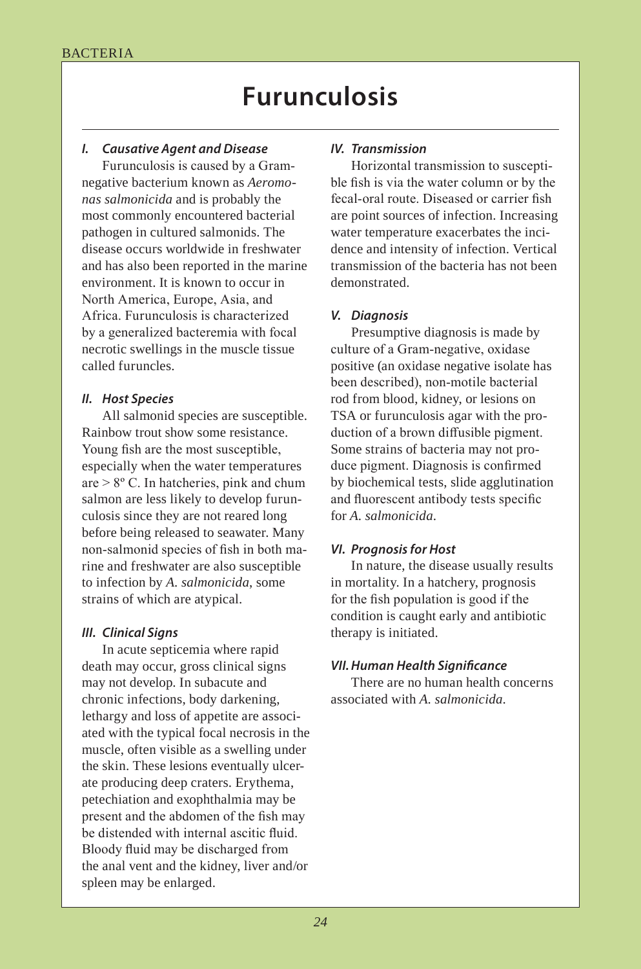# **Furunculosis**

# *I. Causative Agent and Disease IV. Transmission*

Furunculosis is caused by a Gramnegative bacterium known as *Aeromonas salmonicida* and is probably the most commonly encountered bacterial pathogen in cultured salmonids. The disease occurs worldwide in freshwater and has also been reported in the marine environment. It is known to occur in North America, Europe, Asia, and Africa. Furunculosis is characterized by a generalized bacteremia with focal necrotic swellings in the muscle tissue called furuncles.

### *II. Host Species*

All salmonid species are susceptible. Rainbow trout show some resistance. Young fish are the most susceptible, especially when the water temperatures are > 8º C. In hatcheries, pink and chum salmon are less likely to develop furunculosis since they are not reared long before being released to seawater. Many non-salmonid species of fish in both marine and freshwater are also susceptible to infection by *A. salmonicida*, some strains of which are atypical.

# *III. Clinical Signs*

In acute septicemia where rapid death may occur, gross clinical signs may not develop. In subacute and chronic infections, body darkening, lethargy and loss of appetite are associated with the typical focal necrosis in the muscle, often visible as a swelling under the skin. These lesions eventually ulcerate producing deep craters. Erythema, petechiation and exophthalmia may be present and the abdomen of the fish may be distended with internal ascitic fluid. Bloody fluid may be discharged from the anal vent and the kidney, liver and/or spleen may be enlarged.

Horizontal transmission to susceptible fish is via the water column or by the fecal-oral route. Diseased or carrier fish are point sources of infection. Increasing water temperature exacerbates the incidence and intensity of infection. Vertical transmission of the bacteria has not been demonstrated.

### *V. Diagnosis*

Presumptive diagnosis is made by culture of a Gram-negative, oxidase positive (an oxidase negative isolate has been described), non-motile bacterial rod from blood, kidney, or lesions on TSA or furunculosis agar with the production of a brown diffusible pigment. Some strains of bacteria may not produce pigment. Diagnosis is confirmed by biochemical tests, slide agglutination and fluorescent antibody tests specific for *A. salmonicida*.

### *VI. Prognosis for Host*

In nature, the disease usually results in mortality. In a hatchery, prognosis for the fish population is good if the condition is caught early and antibiotic therapy is initiated.

### *VII. Human Health Signifcance*

There are no human health concerns associated with *A. salmonicida*.